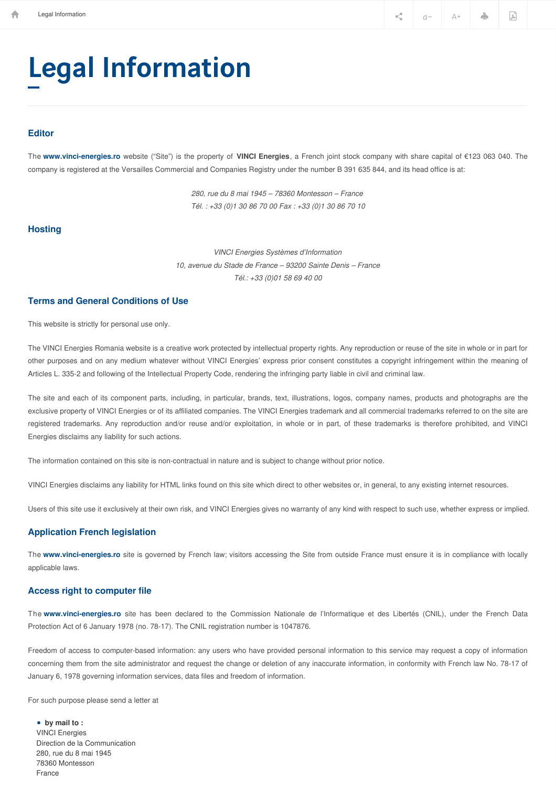**Example 1** Legal Information  $\ll_a$  a  $a - \Delta + \Delta$ 

# Legal Information

#### **Editor**

The **[www.vinci-energies.ro](http://www.vinci-energies.ro)** website ("Site") is the property of **VINCI Energies**, a French joint stock company with share capital of €123 063 040. The company is registered at the Versailles Commercial and Companies Registry under the number B 391 635 844, and its head office is at:

> *280, rue du 8 mai 1945 – 78360 Montesson – France Tél. : +33 (0)1 30 86 70 00 Fax : +33 (0)1 30 86 70 10*

## **Hosting**

*VINCI Energies Systèmes d'Information 10, avenue du Stade de France – 93200 Sainte Denis – France Tél.: +33 (0)01 58 69 40 00*

### **Terms and General Conditions of Use**

This website is strictly for personal use only.

The VINCI Energies Romania website is a creative work protected by intellectual property rights. Any reproduction or reuse of the site in whole or in part for other purposes and on any medium whatever without VINCI Energies' express prior consent constitutes a copyright infringement within the meaning of Articles L. 335-2 and following of the Intellectual Property Code, rendering the infringing party liable in civil and criminal law.

The site and each of its component parts, including, in particular, brands, text, illustrations, logos, company names, products and photographs are the exclusive property of VINCI Energies or of its affiliated companies. The VINCI Energies trademark and all commercial trademarks referred to on the site are registered trademarks. Any reproduction and/or reuse and/or exploitation, in whole or in part, of these trademarks is therefore prohibited, and VINCI Energies disclaims any liability for such actions.

The information contained on this site is non-contractual in nature and is subject to change without prior notice.

VINCI Energies disclaims any liability for HTML links found on this site which direct to other websites or, in general, to any existing internet resources.

Users of this site use it exclusively at their own risk, and VINCI Energies gives no warranty of any kind with respect to such use, whether express or implied.

#### **Application French legislation**

The **[www.vinci-energies.ro](http://www.vinci-energies.ro)** site is governed by French law; visitors accessing the Site from outside France must ensure it is in compliance with locally applicable laws.

### **Access right to computer file**

The **[www.vinci-energies.ro](http://www.vinci-energies.ro)** site has been declared to the Commission Nationale de l'Informatique et des Libertés (CNIL), under the French Data Protection Act of 6 January 1978 (no. 78-17). The CNIL registration number is 1047876.

Freedom of access to computer-based information: any users who have provided personal information to this service may request a copy of information concerning them from the site administrator and request the change or deletion of any inaccurate information, in conformity with French law No. 78-17 of January 6, 1978 governing information services, data files and freedom of information.

For such purpose please send a letter at

**by mail to :** ●VINCI Energies Direction de la Communication 280, rue du 8 mai 1945 78360 Montesson France